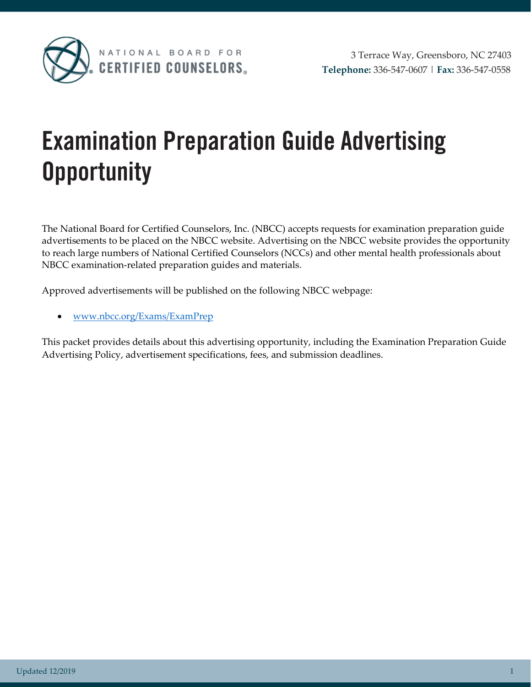

# **Examination Preparation Guide Advertising Opportunity**

The National Board for Certified Counselors, Inc. (NBCC) accepts requests for examination preparation guide advertisements to be placed on the NBCC website. Advertising on the NBCC website provides the opportunity to reach large numbers of National Certified Counselors (NCCs) and other mental health professionals about NBCC examination-related preparation guides and materials.

Approved advertisements will be published on the following NBCC webpage:

• [www.nbcc.org/Exams/ExamPrep](http://www.nbcc.org/Exams/ExamPrep)

This packet provides details about this advertising opportunity, including the Examination Preparation Guide Advertising Policy, advertisement specifications, fees, and submission deadlines.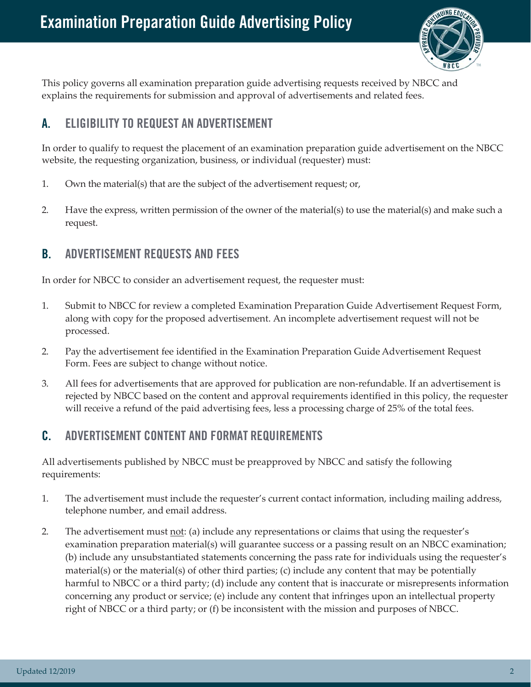

This policy governs all examination preparation guide advertising requests received by NBCC and explains the requirements for submission and approval of advertisements and related fees.

## **A. ELIGIBILITY TO REQUEST AN ADVERTISEMENT**

In order to qualify to request the placement of an examination preparation guide advertisement on the NBCC website, the requesting organization, business, or individual (requester) must:

- 1. Own the material(s) that are the subject of the advertisement request; or,
- 2. Have the express, written permission of the owner of the material(s) to use the material(s) and make such a request.

### **B. ADVERTISEMENT REQUESTS AND FEES**

In order for NBCC to consider an advertisement request, the requester must:

- 1. Submit to NBCC for review a completed Examination Preparation Guide Advertisement Request Form, along with copy for the proposed advertisement. An incomplete advertisement request will not be processed.
- 2. Pay the advertisement fee identified in the Examination Preparation Guide Advertisement Request Form. Fees are subject to change without notice.
- 3. All fees for advertisements that are approved for publication are non-refundable. If an advertisement is rejected by NBCC based on the content and approval requirements identified in this policy, the requester will receive a refund of the paid advertising fees, less a processing charge of 25% of the total fees.

## **C. ADVERTISEMENT CONTENT AND FORMAT REQUIREMENTS**

All advertisements published by NBCC must be preapproved by NBCC and satisfy the following requirements:

- 1. The advertisement must include the requester's current contact information, including mailing address, telephone number, and email address.
- 2. The advertisement must not: (a) include any representations or claims that using the requester's examination preparation material(s) will guarantee success or a passing result on an NBCC examination; (b) include any unsubstantiated statements concerning the pass rate for individuals using the requester's material(s) or the material(s) of other third parties; (c) include any content that may be potentially harmful to NBCC or a third party; (d) include any content that is inaccurate or misrepresents information concerning any product or service; (e) include any content that infringes upon an intellectual property right of NBCC or a third party; or (f) be inconsistent with the mission and purposes of NBCC.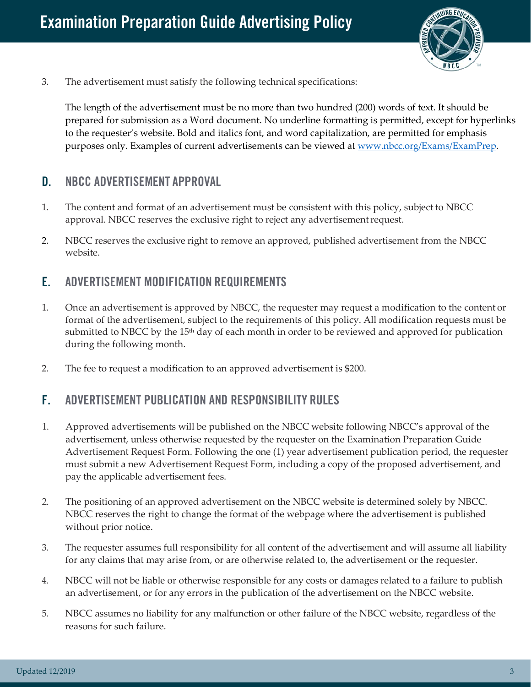

3. The advertisement must satisfy the following technical specifications:

The length of the advertisement must be no more than two hundred (200) words of text. It should be prepared for submission as a Word document. No underline formatting is permitted, except for hyperlinks to the requester's website. Bold and italics font, and word capitalization, are permitted for emphasis purposes only. Examples of current advertisements can be viewed at [www.nbcc.org/Exams/ExamPrep.](http://www.nbcc.org/Exams/ExamPrep)

#### **D. NBCC ADVERTISEMENT APPROVAL**

- 1. The content and format of an advertisement must be consistent with this policy, subject to NBCC approval. NBCC reserves the exclusive right to reject any advertisement request.
- 2. NBCC reserves the exclusive right to remove an approved, published advertisement from the NBCC website.

#### **E. ADVERTISEMENT MODIFICATION REQUIREMENTS**

- 1. Once an advertisement is approved by NBCC, the requester may request a modification to the content or format of the advertisement, subject to the requirements of this policy. All modification requests must be submitted to NBCC by the  $15<sup>th</sup>$  day of each month in order to be reviewed and approved for publication during the following month.
- 2. The fee to request a modification to an approved advertisement is \$200.

#### **F. ADVERTISEMENT PUBLICATION AND RESPONSIBILITY RULES**

- 1. Approved advertisements will be published on the NBCC website following NBCC's approval of the advertisement, unless otherwise requested by the requester on the Examination Preparation Guide Advertisement Request Form. Following the one (1) year advertisement publication period, the requester must submit a new Advertisement Request Form, including a copy of the proposed advertisement, and pay the applicable advertisement fees.
- 2. The positioning of an approved advertisement on the NBCC website is determined solely by NBCC. NBCC reserves the right to change the format of the webpage where the advertisement is published without prior notice.
- 3. The requester assumes full responsibility for all content of the advertisement and will assume all liability for any claims that may arise from, or are otherwise related to, the advertisement or the requester.
- 4. NBCC will not be liable or otherwise responsible for any costs or damages related to a failure to publish an advertisement, or for any errors in the publication of the advertisement on the NBCC website.
- 5. NBCC assumes no liability for any malfunction or other failure of the NBCC website, regardless of the reasons for such failure.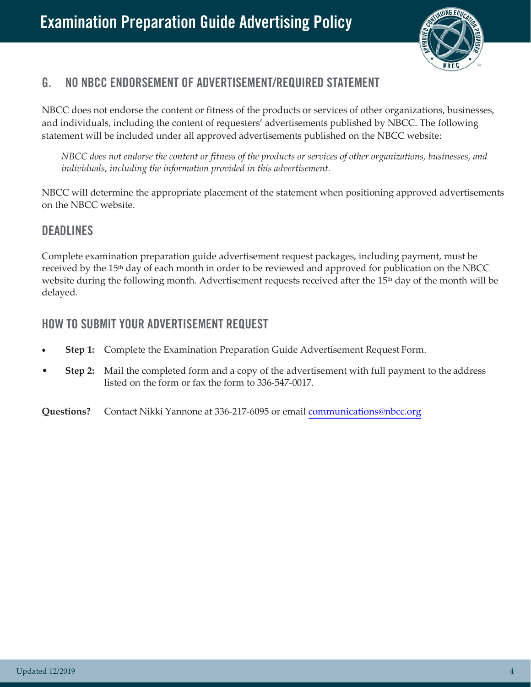

## **G. NO NBCC ENDORSEMENT OF ADVERTISEMENT/REQUIRED STATEMENT**

NBCC does not endorse the content or fitness of the products or services of other organizations, businesses, and individuals, including the content of requesters' advertisements published by NBCC. The following statement will be included under all approved advertisements published on the NBCC website:

*NBCC does not endorse the content or fitness of the products or services of other organizations, businesses, and individuals, including the information provided in this advertisement.*

NBCC will determine the appropriate placement of the statement when positioning approved advertisements on the NBCC website.

#### **DEADLINES**

Complete examination preparation guide advertisement request packages, including payment, must be received by the 15th day of each month in order to be reviewed and approved for publication on the NBCC website during the following month. Advertisement requests received after the 15<sup>th</sup> day of the month will be delayed.

#### **HOW TO SUBMIT YOUR ADVERTISEMENT REQUEST**

- **Step 1:** Complete the Examination Preparation Guide Advertisement Request Form.
- **Step 2:** Mail the completed form and a copy of the advertisement with full payment to the address listed on the form or fax the form to 336-547-0017.

**Questions?** Contact Nikki Yannone at 336-217-6095 or email [communications@nbcc.org](mailto:communications@nbcc.org)